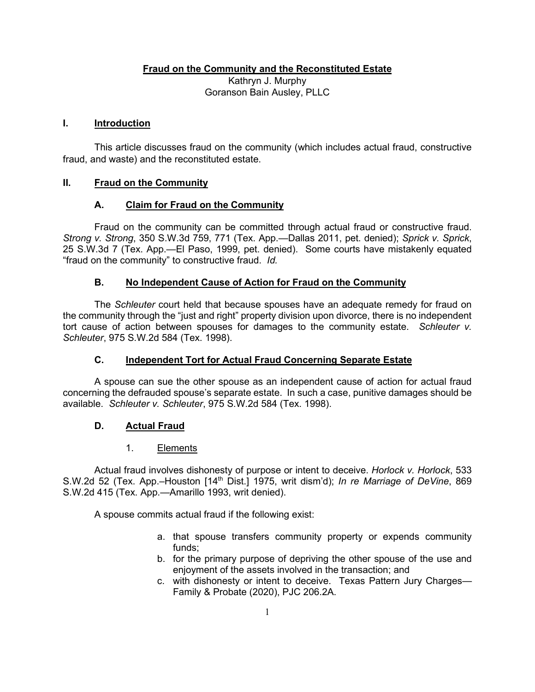**Fraud on the Community and the Reconstituted Estate**

Kathryn J. Murphy Goranson Bain Ausley, PLLC

### **I. Introduction**

This article discusses fraud on the community (which includes actual fraud, constructive fraud, and waste) and the reconstituted estate.

## **II. Fraud on the Community**

### **A. Claim for Fraud on the Community**

Fraud on the community can be committed through actual fraud or constructive fraud. *Strong v. Strong*, 350 S.W.3d 759, 771 (Tex. App.—Dallas 2011, pet. denied); *Sprick v. Sprick*, 25 S.W.3d 7 (Tex. App.—El Paso, 1999, pet. denied). Some courts have mistakenly equated "fraud on the community" to constructive fraud. *Id.* 

## **B. No Independent Cause of Action for Fraud on the Community**

The *Schleuter* court held that because spouses have an adequate remedy for fraud on the community through the "just and right" property division upon divorce, there is no independent tort cause of action between spouses for damages to the community estate. *Schleuter v. Schleuter*, 975 S.W.2d 584 (Tex. 1998).

## **C. Independent Tort for Actual Fraud Concerning Separate Estate**

A spouse can sue the other spouse as an independent cause of action for actual fraud concerning the defrauded spouse's separate estate. In such a case, punitive damages should be available. *Schleuter v. Schleuter*, 975 S.W.2d 584 (Tex. 1998).

## **D. Actual Fraud**

### 1. Elements

Actual fraud involves dishonesty of purpose or intent to deceive. *Horlock v. Horlock*, 533 S.W.2d 52 (Tex. App.–Houston [14th Dist.] 1975, writ dism'd); *In re Marriage of DeVine*, 869 S.W.2d 415 (Tex. App.—Amarillo 1993, writ denied).

A spouse commits actual fraud if the following exist:

- a. that spouse transfers community property or expends community funds;
- b. for the primary purpose of depriving the other spouse of the use and enjoyment of the assets involved in the transaction; and
- c. with dishonesty or intent to deceive. Texas Pattern Jury Charges— Family & Probate (2020), PJC 206.2A.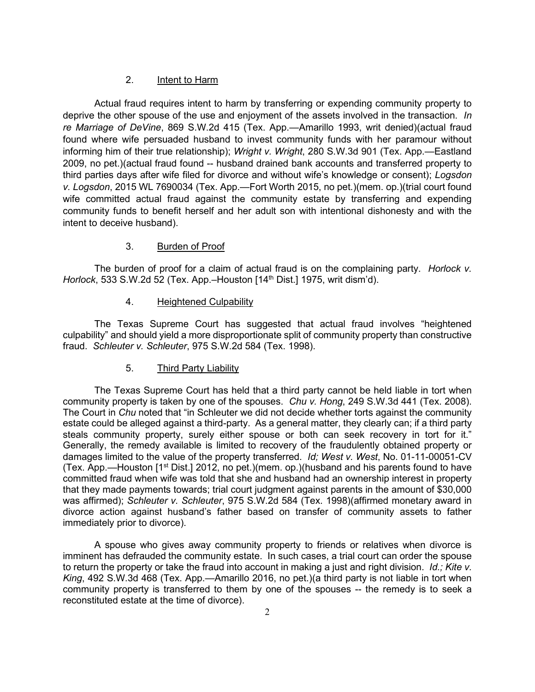### 2. Intent to Harm

Actual fraud requires intent to harm by transferring or expending community property to deprive the other spouse of the use and enjoyment of the assets involved in the transaction. *In re Marriage of DeVine*, 869 S.W.2d 415 (Tex. App.—Amarillo 1993, writ denied)(actual fraud found where wife persuaded husband to invest community funds with her paramour without informing him of their true relationship); *Wright v. Wright*, 280 S.W.3d 901 (Tex. App.—Eastland 2009, no pet.)(actual fraud found -- husband drained bank accounts and transferred property to third parties days after wife filed for divorce and without wife's knowledge or consent); *Logsdon v. Logsdon*, 2015 WL 7690034 (Tex. App.—Fort Worth 2015, no pet.)(mem. op.)(trial court found wife committed actual fraud against the community estate by transferring and expending community funds to benefit herself and her adult son with intentional dishonesty and with the intent to deceive husband).

### 3. Burden of Proof

The burden of proof for a claim of actual fraud is on the complaining party. *Horlock v. Horlock*, 533 S.W.2d 52 (Tex. App.–Houston [14<sup>th</sup> Dist.] 1975, writ dism'd).

### 4. Heightened Culpability

The Texas Supreme Court has suggested that actual fraud involves "heightened culpability" and should yield a more disproportionate split of community property than constructive fraud. *Schleuter v. Schleuter*, 975 S.W.2d 584 (Tex. 1998).

### 5. Third Party Liability

The Texas Supreme Court has held that a third party cannot be held liable in tort when community property is taken by one of the spouses. *Chu v. Hong*, 249 S.W.3d 441 (Tex. 2008). The Court in *Chu* noted that "in Schleuter we did not decide whether torts against the community estate could be alleged against a third-party. As a general matter, they clearly can; if a third party steals community property, surely either spouse or both can seek recovery in tort for it." Generally, the remedy available is limited to recovery of the fraudulently obtained property or damages limited to the value of the property transferred. *Id; West v. West*, No. 01-11-00051-CV (Tex. App.—Houston [1st Dist.] 2012, no pet.)(mem. op.)(husband and his parents found to have committed fraud when wife was told that she and husband had an ownership interest in property that they made payments towards; trial court judgment against parents in the amount of \$30,000 was affirmed); *Schleuter v. Schleuter*, 975 S.W.2d 584 (Tex. 1998)(affirmed monetary award in divorce action against husband's father based on transfer of community assets to father immediately prior to divorce).

A spouse who gives away community property to friends or relatives when divorce is imminent has defrauded the community estate. In such cases, a trial court can order the spouse to return the property or take the fraud into account in making a just and right division. *Id.; Kite v. King*, 492 S.W.3d 468 (Tex. App.—Amarillo 2016, no pet.)(a third party is not liable in tort when community property is transferred to them by one of the spouses -- the remedy is to seek a reconstituted estate at the time of divorce).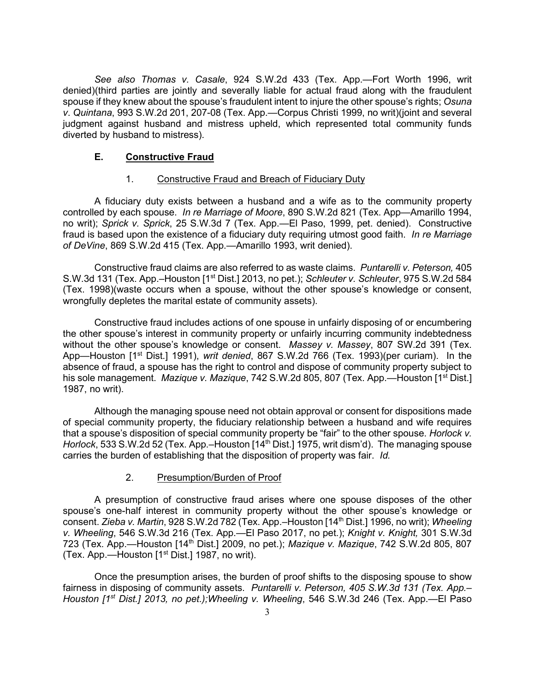*See also Thomas v. Casale*, 924 S.W.2d 433 (Tex. App.—Fort Worth 1996, writ denied)(third parties are jointly and severally liable for actual fraud along with the fraudulent spouse if they knew about the spouse's fraudulent intent to injure the other spouse's rights; *Osuna v*. *Quintana*, 993 S.W.2d 201, 207-08 (Tex. App.—Corpus Christi 1999, no writ)(joint and several judgment against husband and mistress upheld, which represented total community funds diverted by husband to mistress).

## **E. Constructive Fraud**

## 1. Constructive Fraud and Breach of Fiduciary Duty

A fiduciary duty exists between a husband and a wife as to the community property controlled by each spouse. *In re Marriage of Moore*, 890 S.W.2d 821 (Tex. App—Amarillo 1994, no writ); *Sprick v. Sprick*, 25 S.W.3d 7 (Tex. App.—El Paso, 1999, pet. denied). Constructive fraud is based upon the existence of a fiduciary duty requiring utmost good faith. *In re Marriage of DeVine*, 869 S.W.2d 415 (Tex. App.—Amarillo 1993, writ denied).

Constructive fraud claims are also referred to as waste claims. *Puntarelli v. Peterson,* 405 S.W.3d 131 (Tex. App.–Houston [1st Dist.] 2013, no pet.); *Schleuter v. Schleuter*, 975 S.W.2d 584 (Tex. 1998)(waste occurs when a spouse, without the other spouse's knowledge or consent, wrongfully depletes the marital estate of community assets).

Constructive fraud includes actions of one spouse in unfairly disposing of or encumbering the other spouse's interest in community property or unfairly incurring community indebtedness without the other spouse's knowledge or consent. *Massey v. Massey*, 807 SW.2d 391 (Tex. App—Houston [1st Dist.] 1991), *writ denied*, 867 S.W.2d 766 (Tex. 1993)(per curiam). In the absence of fraud, a spouse has the right to control and dispose of community property subject to his sole management. *Mazique v. Mazique*, 742 S.W.2d 805, 807 (Tex. App.—Houston [1<sup>st</sup> Dist.] 1987, no writ).

Although the managing spouse need not obtain approval or consent for dispositions made of special community property, the fiduciary relationship between a husband and wife requires that a spouse's disposition of special community property be "fair" to the other spouse. *Horlock v. Horlock*, 533 S.W.2d 52 (Tex. App.–Houston [14<sup>th</sup> Dist.] 1975, writ dism'd). The managing spouse carries the burden of establishing that the disposition of property was fair. *Id.*

## 2. Presumption/Burden of Proof

A presumption of constructive fraud arises where one spouse disposes of the other spouse's one-half interest in community property without the other spouse's knowledge or consent. *Zieba v. Martin*, 928 S.W.2d 782 (Tex. App.–Houston [14th Dist.] 1996, no writ); *Wheeling v. Wheeling*, 546 S.W.3d 216 (Tex. App.—El Paso 2017, no pet.); *Knight v. Knight,* 301 S.W.3d 723 (Tex. App.—Houston [14th Dist.] 2009, no pet.); *Mazique v. Mazique*, 742 S.W.2d 805, 807 (Tex. App.—Houston [1st Dist.] 1987, no writ).

Once the presumption arises, the burden of proof shifts to the disposing spouse to show fairness in disposing of community assets. *Puntarelli v. Peterson, 405 S.W.3d 131 (Tex. App.– Houston [1st Dist.] 2013, no pet.);Wheeling v. Wheeling*, 546 S.W.3d 246 (Tex. App.—El Paso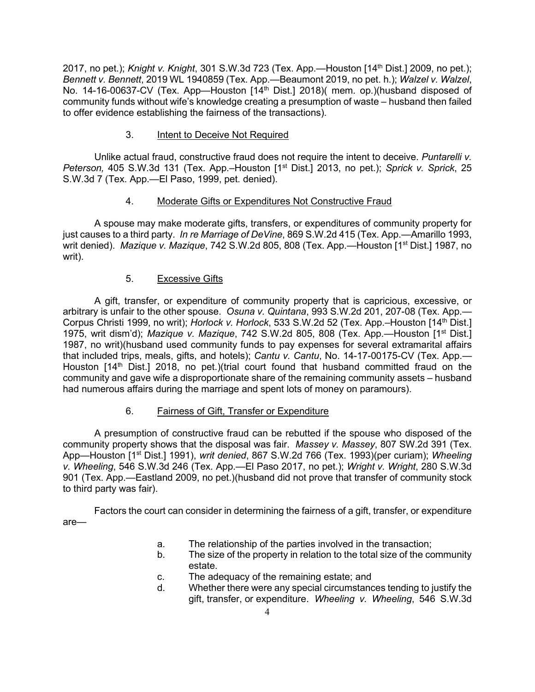2017, no pet.); *Knight v. Knight*, 301 S.W.3d 723 (Tex. App.—Houston [14th Dist.] 2009, no pet.); *Bennett v. Bennett*, 2019 WL 1940859 (Tex. App.—Beaumont 2019, no pet. h.); *Walzel v. Walzel*, No. 14-16-00637-CV (Tex. App—Houston [14<sup>th</sup> Dist.] 2018)( mem. op.)(husband disposed of community funds without wife's knowledge creating a presumption of waste – husband then failed to offer evidence establishing the fairness of the transactions).

## 3. Intent to Deceive Not Required

Unlike actual fraud, constructive fraud does not require the intent to deceive. *Puntarelli v. Peterson, 405 S.W.3d 131 (Tex. App.*–Houston [1<sup>st</sup> Dist.] 2013, no pet.); *Sprick v. Sprick*, 25 S.W.3d 7 (Tex. App.—El Paso, 1999, pet. denied).

## 4. Moderate Gifts or Expenditures Not Constructive Fraud

A spouse may make moderate gifts, transfers, or expenditures of community property for just causes to a third party. *In re Marriage of DeVine*, 869 S.W.2d 415 (Tex. App.—Amarillo 1993, writ denied). *Mazique v. Mazique*, 742 S.W.2d 805, 808 (Tex. App.—Houston [1<sup>st</sup> Dist.] 1987, no writ).

## 5. Excessive Gifts

A gift, transfer, or expenditure of community property that is capricious, excessive, or arbitrary is unfair to the other spouse. *Osuna v. Quintana*, 993 S.W.2d 201, 207-08 (Tex. App.— Corpus Christi 1999, no writ); *Horlock v. Horlock*, 533 S.W.2d 52 (Tex. App.–Houston [14th Dist.] 1975, writ dism'd); *Mazique v. Mazique*, 742 S.W.2d 805, 808 (Tex. App.—Houston [1st Dist.] 1987, no writ)(husband used community funds to pay expenses for several extramarital affairs that included trips, meals, gifts, and hotels); *Cantu v. Cantu*, No. 14-17-00175-CV (Tex. App.— Houston  $[14<sup>th</sup> Dist.]$  2018, no pet.)(trial court found that husband committed fraud on the community and gave wife a disproportionate share of the remaining community assets – husband had numerous affairs during the marriage and spent lots of money on paramours).

## 6. Fairness of Gift, Transfer or Expenditure

A presumption of constructive fraud can be rebutted if the spouse who disposed of the community property shows that the disposal was fair. *Massey v. Massey*, 807 SW.2d 391 (Tex. App—Houston [1st Dist.] 1991), *writ denied*, 867 S.W.2d 766 (Tex. 1993)(per curiam); *Wheeling v. Wheeling*, 546 S.W.3d 246 (Tex. App.—El Paso 2017, no pet.); *Wright v. Wright*, 280 S.W.3d 901 (Tex. App.—Eastland 2009, no pet.)(husband did not prove that transfer of community stock to third party was fair).

Factors the court can consider in determining the fairness of a gift, transfer, or expenditure are—

- a. The relationship of the parties involved in the transaction;
- b. The size of the property in relation to the total size of the community estate.
- c. The adequacy of the remaining estate; and
- d. Whether there were any special circumstances tending to justify the gift, transfer, or expenditure. *Wheeling v. Wheeling*, 546 S.W.3d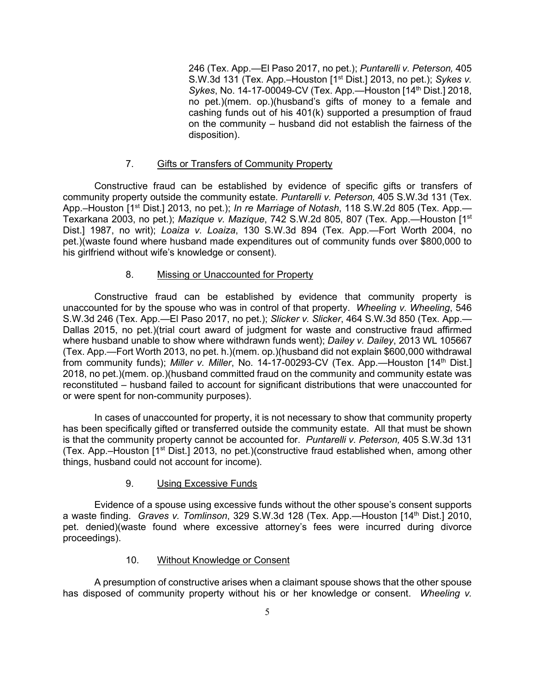246 (Tex. App.—El Paso 2017, no pet.); *Puntarelli v. Peterson,* 405 S.W.3d 131 (Tex. App.–Houston [1st Dist.] 2013, no pet.); *Sykes v. Sykes*, No. 14-17-00049-CV (Tex. App.—Houston [14<sup>th</sup> Dist.] 2018, no pet.)(mem. op.)(husband's gifts of money to a female and cashing funds out of his 401(k) supported a presumption of fraud on the community – husband did not establish the fairness of the disposition).

### 7. Gifts or Transfers of Community Property

Constructive fraud can be established by evidence of specific gifts or transfers of community property outside the community estate. *Puntarelli v. Peterson,* 405 S.W.3d 131 (Tex. App.–Houston [1<sup>st</sup> Dist.] 2013, no pet.); *In re Marriage of Notash*, 118 S.W.2d 805 (Tex. App.— Texarkana 2003, no pet.); *Mazique v. Mazique*, 742 S.W.2d 805, 807 (Tex. App.—Houston [1st Dist.] 1987, no writ); *Loaiza v. Loaiza*, 130 S.W.3d 894 (Tex. App.—Fort Worth 2004, no pet.)(waste found where husband made expenditures out of community funds over \$800,000 to his girlfriend without wife's knowledge or consent).

### 8. Missing or Unaccounted for Property

Constructive fraud can be established by evidence that community property is unaccounted for by the spouse who was in control of that property. *Wheeling v. Wheeling*, 546 S.W.3d 246 (Tex. App.—El Paso 2017, no pet.); *Slicker v. Slicker*, 464 S.W.3d 850 (Tex. App.— Dallas 2015, no pet.)(trial court award of judgment for waste and constructive fraud affirmed where husband unable to show where withdrawn funds went); *Dailey v. Dailey*, 2013 WL 105667 (Tex. App.—Fort Worth 2013, no pet. h.)(mem. op.)(husband did not explain \$600,000 withdrawal from community funds); *Miller v. Miller*, No. 14-17-00293-CV (Tex. App.—Houston [14<sup>th</sup> Dist.] 2018, no pet.)(mem. op.)(husband committed fraud on the community and community estate was reconstituted – husband failed to account for significant distributions that were unaccounted for or were spent for non-community purposes).

In cases of unaccounted for property, it is not necessary to show that community property has been specifically gifted or transferred outside the community estate. All that must be shown is that the community property cannot be accounted for. *Puntarelli v. Peterson,* 405 S.W.3d 131 (Tex. App.–Houston [1st Dist.] 2013, no pet.)(constructive fraud established when, among other things, husband could not account for income).

### 9. Using Excessive Funds

Evidence of a spouse using excessive funds without the other spouse's consent supports a waste finding. *Graves v. Tomlinson*, 329 S.W.3d 128 (Tex. App.—Houston [14th Dist.] 2010, pet. denied)(waste found where excessive attorney's fees were incurred during divorce proceedings).

### 10. Without Knowledge or Consent

A presumption of constructive arises when a claimant spouse shows that the other spouse has disposed of community property without his or her knowledge or consent. *Wheeling v.*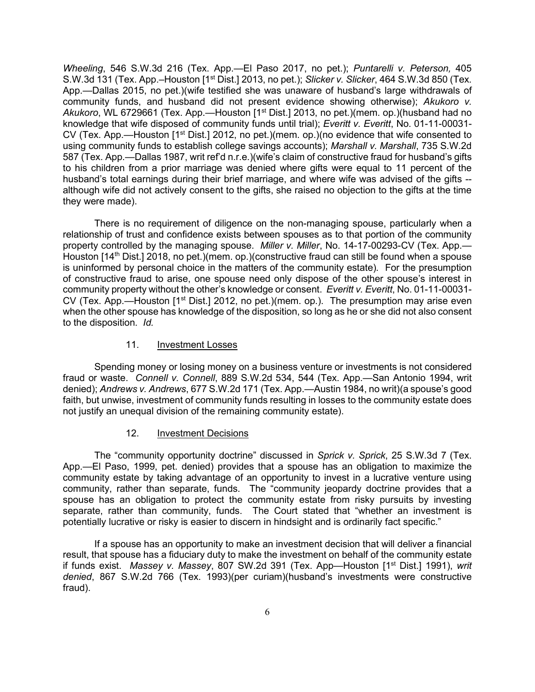*Wheeling*, 546 S.W.3d 216 (Tex. App.—El Paso 2017, no pet.); *Puntarelli v. Peterson,* 405 S.W.3d 131 (Tex. App.–Houston [1st Dist.] 2013, no pet.); *Slicker v. Slicker*, 464 S.W.3d 850 (Tex. App.—Dallas 2015, no pet.)(wife testified she was unaware of husband's large withdrawals of community funds, and husband did not present evidence showing otherwise); *Akukoro v.*  Akukoro, WL 6729661 (Tex. App.—Houston [1<sup>st</sup> Dist.] 2013, no pet.)(mem. op.)(husband had no knowledge that wife disposed of community funds until trial); *Everitt v. Everitt*, No. 01-11-00031- CV (Tex. App.—Houston [1<sup>st</sup> Dist.] 2012, no pet.)(mem. op.)(no evidence that wife consented to using community funds to establish college savings accounts); *Marshall v. Marshall*, 735 S.W.2d 587 (Tex. App.—Dallas 1987, writ ref'd n.r.e.)(wife's claim of constructive fraud for husband's gifts to his children from a prior marriage was denied where gifts were equal to 11 percent of the husband's total earnings during their brief marriage, and where wife was advised of the gifts - although wife did not actively consent to the gifts, she raised no objection to the gifts at the time they were made).

There is no requirement of diligence on the non-managing spouse, particularly when a relationship of trust and confidence exists between spouses as to that portion of the community property controlled by the managing spouse. *Miller v. Miller*, No. 14-17-00293-CV (Tex. App.— Houston [14<sup>th</sup> Dist.] 2018, no pet.)(mem. op.)(constructive fraud can still be found when a spouse is uninformed by personal choice in the matters of the community estate)*.* For the presumption of constructive fraud to arise, one spouse need only dispose of the other spouse's interest in community property without the other's knowledge or consent. *Everitt v. Everitt*, No. 01-11-00031- CV (Tex. App.—Houston  $[1<sup>st</sup> Dist.]$  2012, no pet.)(mem. op.). The presumption may arise even when the other spouse has knowledge of the disposition, so long as he or she did not also consent to the disposition. *Id.*

#### 11. Investment Losses

Spending money or losing money on a business venture or investments is not considered fraud or waste. *Connell v. Connell*, 889 S.W.2d 534, 544 (Tex. App.—San Antonio 1994, writ denied); *Andrews v. Andrews*, 677 S.W.2d 171 (Tex. App.—Austin 1984, no writ)(a spouse's good faith, but unwise, investment of community funds resulting in losses to the community estate does not justify an unequal division of the remaining community estate).

#### 12. Investment Decisions

The "community opportunity doctrine" discussed in *Sprick v. Sprick*, 25 S.W.3d 7 (Tex. App.—El Paso, 1999, pet. denied) provides that a spouse has an obligation to maximize the community estate by taking advantage of an opportunity to invest in a lucrative venture using community, rather than separate, funds. The "community jeopardy doctrine provides that a spouse has an obligation to protect the community estate from risky pursuits by investing separate, rather than community, funds. The Court stated that "whether an investment is potentially lucrative or risky is easier to discern in hindsight and is ordinarily fact specific."

If a spouse has an opportunity to make an investment decision that will deliver a financial result, that spouse has a fiduciary duty to make the investment on behalf of the community estate if funds exist. *Massey v. Massey*, 807 SW.2d 391 (Tex. App—Houston [1st Dist.] 1991), *writ denied*, 867 S.W.2d 766 (Tex. 1993)(per curiam)(husband's investments were constructive fraud).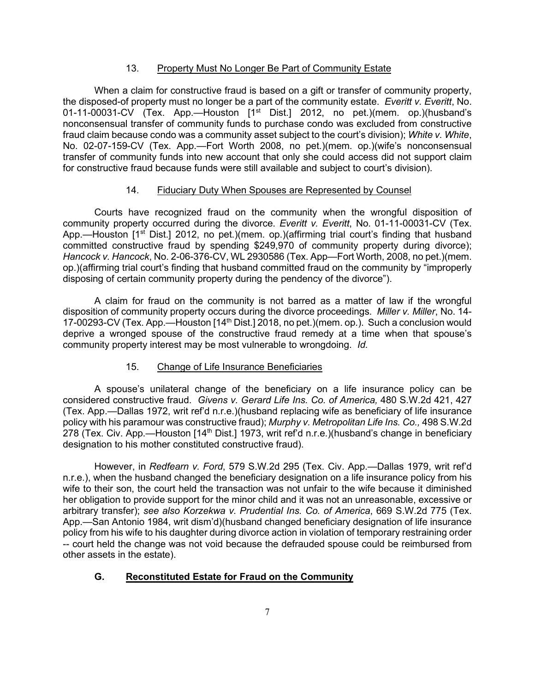### 13. Property Must No Longer Be Part of Community Estate

When a claim for constructive fraud is based on a gift or transfer of community property, the disposed-of property must no longer be a part of the community estate. *Everitt v. Everitt*, No. 01-11-00031-CV (Tex. App.—Houston [1<sup>st</sup> Dist.] 2012, no pet.)(mem. op.)(husband's nonconsensual transfer of community funds to purchase condo was excluded from constructive fraud claim because condo was a community asset subject to the court's division); *White v. White*, No. 02-07-159-CV (Tex. App.—Fort Worth 2008, no pet.)(mem. op.)(wife's nonconsensual transfer of community funds into new account that only she could access did not support claim for constructive fraud because funds were still available and subject to court's division).

### 14. Fiduciary Duty When Spouses are Represented by Counsel

Courts have recognized fraud on the community when the wrongful disposition of community property occurred during the divorce. *Everitt v. Everitt*, No. 01-11-00031-CV (Tex. App.—Houston  $1^{st}$  Dist.] 2012, no pet.)(mem. op.)(affirming trial court's finding that husband committed constructive fraud by spending \$249,970 of community property during divorce); *Hancock v. Hancock*, No. 2-06-376-CV, WL 2930586 (Tex. App—Fort Worth, 2008, no pet.)(mem. op.)(affirming trial court's finding that husband committed fraud on the community by "improperly disposing of certain community property during the pendency of the divorce").

A claim for fraud on the community is not barred as a matter of law if the wrongful disposition of community property occurs during the divorce proceedings. *Miller v. Miller*, No. 14- 17-00293-CV (Tex. App.—Houston [14<sup>th</sup> Dist.] 2018, no pet.)(mem. op.). Such a conclusion would deprive a wronged spouse of the constructive fraud remedy at a time when that spouse's community property interest may be most vulnerable to wrongdoing. *Id.* 

### 15. Change of Life Insurance Beneficiaries

A spouse's unilateral change of the beneficiary on a life insurance policy can be considered constructive fraud. *Givens v. Gerard Life Ins. Co. of America,* 480 S.W.2d 421, 427 (Tex. App.—Dallas 1972, writ ref'd n.r.e.)(husband replacing wife as beneficiary of life insurance policy with his paramour was constructive fraud); *Murphy v. Metropolitan Life Ins. Co.,* 498 S.W.2d 278 (Tex. Civ. App.—Houston [14<sup>th</sup> Dist.] 1973, writ ref'd n.r.e.)(husband's change in beneficiary designation to his mother constituted constructive fraud).

However, in *Redfearn v. Ford*, 579 S.W.2d 295 (Tex. Civ. App.—Dallas 1979, writ ref'd n.r.e.), when the husband changed the beneficiary designation on a life insurance policy from his wife to their son, the court held the transaction was not unfair to the wife because it diminished her obligation to provide support for the minor child and it was not an unreasonable, excessive or arbitrary transfer); *see also Korzekwa v. Prudential Ins. Co. of America*, 669 S.W.2d 775 (Tex. App.—San Antonio 1984, writ dism'd)(husband changed beneficiary designation of life insurance policy from his wife to his daughter during divorce action in violation of temporary restraining order -- court held the change was not void because the defrauded spouse could be reimbursed from other assets in the estate).

### **G. Reconstituted Estate for Fraud on the Community**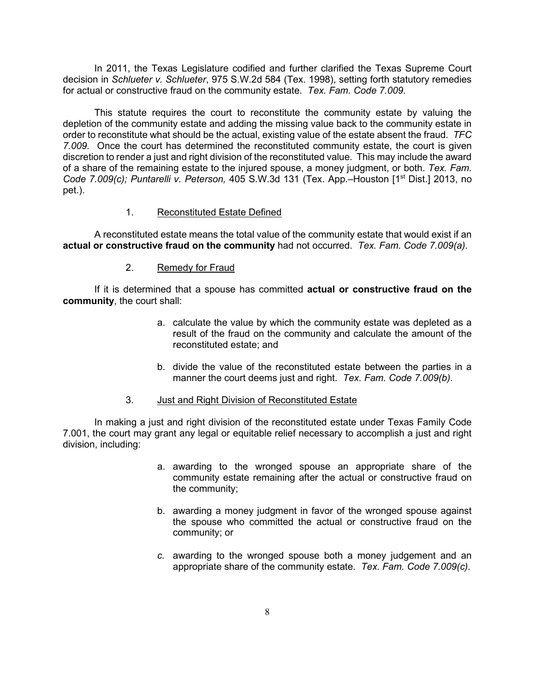In 2011, the Texas Legislature codified and further clarified the Texas Supreme Court decision in *Schlueter v. Schlueter*, 975 S.W.2d 584 (Tex. 1998), setting forth statutory remedies for actual or constructive fraud on the community estate. *Tex. Fam. Code 7.009.* 

This statute requires the court to reconstitute the community estate by valuing the depletion of the community estate and adding the missing value back to the community estate in order to reconstitute what should be the actual, existing value of the estate absent the fraud. *TFC 7.009.* Once the court has determined the reconstituted community estate, the court is given discretion to render a just and right division of the reconstituted value. This may include the award of a share of the remaining estate to the injured spouse, a money judgment, or both. *Tex. Fam. Code 7.009(c); Puntarelli v. Peterson, 405 S.W.3d 131 (Tex. App.*–Houston [1<sup>st</sup> Dist.] 2013, no pet.).

### 1. Reconstituted Estate Defined

A reconstituted estate means the total value of the community estate that would exist if an **actual or constructive fraud on the community** had not occurred. *Tex. Fam. Code 7.009(a).*

### 2. Remedy for Fraud

If it is determined that a spouse has committed **actual or constructive fraud on the community**, the court shall:

- a. calculate the value by which the community estate was depleted as a result of the fraud on the community and calculate the amount of the reconstituted estate; and
- b. divide the value of the reconstituted estate between the parties in a manner the court deems just and right. *Tex. Fam. Code 7.009(b)*.

### 3. Just and Right Division of Reconstituted Estate

In making a just and right division of the reconstituted estate under Texas Family Code 7.001, the court may grant any legal or equitable relief necessary to accomplish a just and right division, including:

- a. awarding to the wronged spouse an appropriate share of the community estate remaining after the actual or constructive fraud on the community;
- b. awarding a money judgment in favor of the wronged spouse against the spouse who committed the actual or constructive fraud on the community; or
- *c.* awarding to the wronged spouse both a money judgement and an appropriate share of the community estate. *Tex. Fam. Code 7.009(c).*